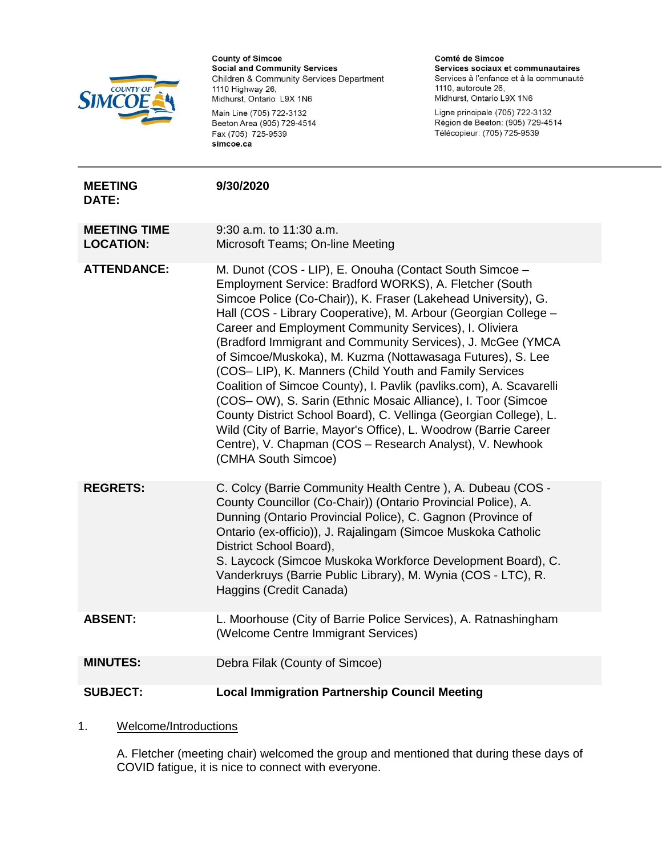

Main Line (705) 722-3132 Beeton Area (905) 729-4514 Fax (705) 725-9539 simcoe.ca

Comté de Simcoe Services sociaux et communautaires Services à l'enfance et à la communauté 1110, autoroute 26, Midhurst, Ontario L9X 1N6

Ligne principale (705) 722-3132 Région de Beeton: (905) 729-4514 Télécopieur: (705) 725-9539

| <b>MEETING</b><br>DATE:                 | 9/30/2020                                                                                                                                                                                                                                                                                                                                                                                                                                                                                                                                                                                                                                                                                                                                                                                                                                                                   |
|-----------------------------------------|-----------------------------------------------------------------------------------------------------------------------------------------------------------------------------------------------------------------------------------------------------------------------------------------------------------------------------------------------------------------------------------------------------------------------------------------------------------------------------------------------------------------------------------------------------------------------------------------------------------------------------------------------------------------------------------------------------------------------------------------------------------------------------------------------------------------------------------------------------------------------------|
| <b>MEETING TIME</b><br><b>LOCATION:</b> | 9:30 a.m. to 11:30 a.m.<br>Microsoft Teams; On-line Meeting                                                                                                                                                                                                                                                                                                                                                                                                                                                                                                                                                                                                                                                                                                                                                                                                                 |
| <b>ATTENDANCE:</b>                      | M. Dunot (COS - LIP), E. Onouha (Contact South Simcoe -<br>Employment Service: Bradford WORKS), A. Fletcher (South<br>Simcoe Police (Co-Chair)), K. Fraser (Lakehead University), G.<br>Hall (COS - Library Cooperative), M. Arbour (Georgian College -<br>Career and Employment Community Services), I. Oliviera<br>(Bradford Immigrant and Community Services), J. McGee (YMCA<br>of Simcoe/Muskoka), M. Kuzma (Nottawasaga Futures), S. Lee<br>(COS-LIP), K. Manners (Child Youth and Family Services<br>Coalition of Simcoe County), I. Pavlik (pavliks.com), A. Scavarelli<br>(COS-OW), S. Sarin (Ethnic Mosaic Alliance), I. Toor (Simcoe<br>County District School Board), C. Vellinga (Georgian College), L.<br>Wild (City of Barrie, Mayor's Office), L. Woodrow (Barrie Career<br>Centre), V. Chapman (COS - Research Analyst), V. Newhook<br>(CMHA South Simcoe) |
| <b>REGRETS:</b>                         | C. Colcy (Barrie Community Health Centre), A. Dubeau (COS -<br>County Councillor (Co-Chair)) (Ontario Provincial Police), A.<br>Dunning (Ontario Provincial Police), C. Gagnon (Province of<br>Ontario (ex-officio)), J. Rajalingam (Simcoe Muskoka Catholic<br>District School Board),<br>S. Laycock (Simcoe Muskoka Workforce Development Board), C.<br>Vanderkruys (Barrie Public Library), M. Wynia (COS - LTC), R.<br>Haggins (Credit Canada)                                                                                                                                                                                                                                                                                                                                                                                                                          |
| <b>ABSENT:</b>                          | L. Moorhouse (City of Barrie Police Services), A. Ratnashingham<br>(Welcome Centre Immigrant Services)                                                                                                                                                                                                                                                                                                                                                                                                                                                                                                                                                                                                                                                                                                                                                                      |
| <b>MINUTES:</b>                         | Debra Filak (County of Simcoe)                                                                                                                                                                                                                                                                                                                                                                                                                                                                                                                                                                                                                                                                                                                                                                                                                                              |
| <b>SUBJECT:</b>                         | <b>Local Immigration Partnership Council Meeting</b>                                                                                                                                                                                                                                                                                                                                                                                                                                                                                                                                                                                                                                                                                                                                                                                                                        |

1. Welcome/Introductions

A. Fletcher (meeting chair) welcomed the group and mentioned that during these days of COVID fatigue, it is nice to connect with everyone.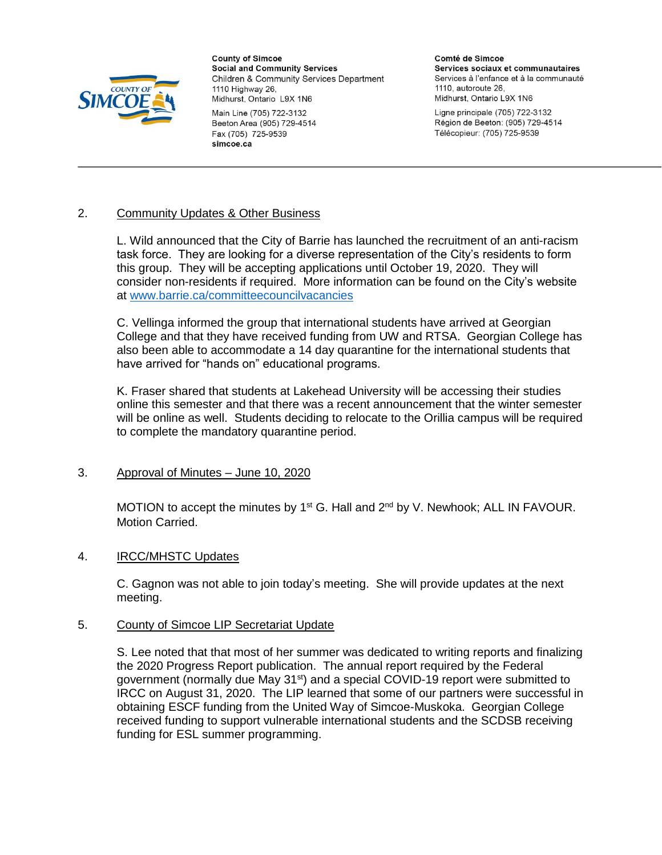

Main Line (705) 722-3132 Beeton Area (905) 729-4514 Fax (705) 725-9539 simcoe.ca

Comté de Simcoe Services sociaux et communautaires Services à l'enfance et à la communauté 1110, autoroute 26. Midhurst, Ontario L9X 1N6

Ligne principale (705) 722-3132 Région de Beeton: (905) 729-4514 Télécopieur: (705) 725-9539

# 2. Community Updates & Other Business

L. Wild announced that the City of Barrie has launched the recruitment of an anti-racism task force. They are looking for a diverse representation of the City's residents to form this group. They will be accepting applications until October 19, 2020. They will consider non-residents if required. More information can be found on the City's website at [www.barrie.ca/committeecouncilvacancies](http://www.barrie.ca/committeecouncilvacancies)

C. Vellinga informed the group that international students have arrived at Georgian College and that they have received funding from UW and RTSA. Georgian College has also been able to accommodate a 14 day quarantine for the international students that have arrived for "hands on" educational programs.

K. Fraser shared that students at Lakehead University will be accessing their studies online this semester and that there was a recent announcement that the winter semester will be online as well. Students deciding to relocate to the Orillia campus will be required to complete the mandatory quarantine period.

## 3. Approval of Minutes – June 10, 2020

MOTION to accept the minutes by  $1<sup>st</sup>$  G. Hall and  $2<sup>nd</sup>$  by V. Newhook; ALL IN FAVOUR. Motion Carried.

## 4. IRCC/MHSTC Updates

C. Gagnon was not able to join today's meeting. She will provide updates at the next meeting.

## 5. County of Simcoe LIP Secretariat Update

S. Lee noted that that most of her summer was dedicated to writing reports and finalizing the 2020 Progress Report publication. The annual report required by the Federal government (normally due May  $31^{st}$ ) and a special COVID-19 report were submitted to IRCC on August 31, 2020. The LIP learned that some of our partners were successful in obtaining ESCF funding from the United Way of Simcoe-Muskoka. Georgian College received funding to support vulnerable international students and the SCDSB receiving funding for ESL summer programming.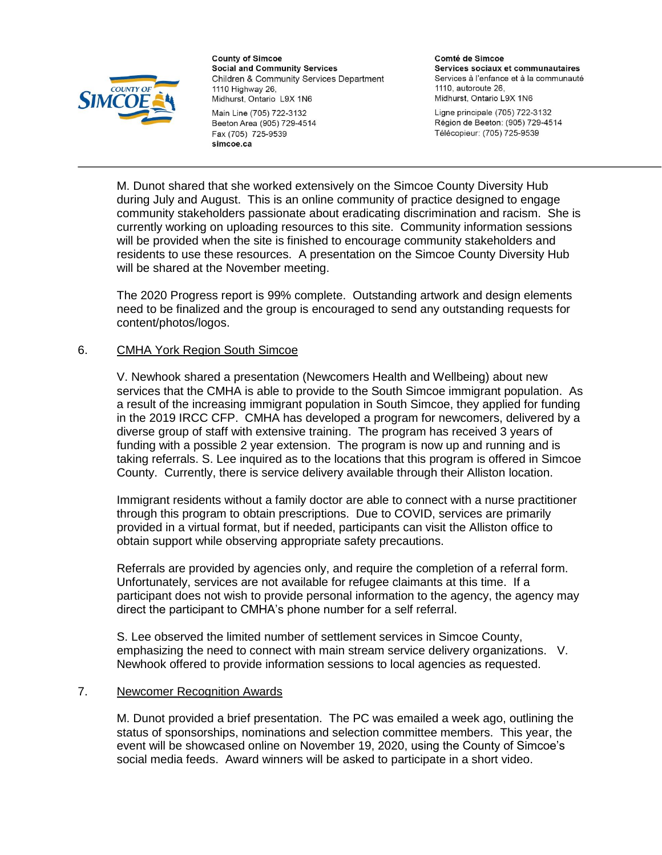

Beeton Area (905) 729-4514 Fax (705) 725-9539 simcoe.ca

Comté de Simcoe Services sociaux et communautaires Services à l'enfance et à la communauté 1110, autoroute 26. Midhurst, Ontario L9X 1N6

Ligne principale (705) 722-3132 Région de Beeton: (905) 729-4514 Télécopieur: (705) 725-9539

M. Dunot shared that she worked extensively on the Simcoe County Diversity Hub during July and August. This is an online community of practice designed to engage community stakeholders passionate about eradicating discrimination and racism. She is currently working on uploading resources to this site. Community information sessions will be provided when the site is finished to encourage community stakeholders and residents to use these resources. A presentation on the Simcoe County Diversity Hub will be shared at the November meeting.

The 2020 Progress report is 99% complete. Outstanding artwork and design elements need to be finalized and the group is encouraged to send any outstanding requests for content/photos/logos.

## 6. CMHA York Region South Simcoe

V. Newhook shared a presentation (Newcomers Health and Wellbeing) about new services that the CMHA is able to provide to the South Simcoe immigrant population. As a result of the increasing immigrant population in South Simcoe, they applied for funding in the 2019 IRCC CFP. CMHA has developed a program for newcomers, delivered by a diverse group of staff with extensive training. The program has received 3 years of funding with a possible 2 year extension. The program is now up and running and is taking referrals. S. Lee inquired as to the locations that this program is offered in Simcoe County. Currently, there is service delivery available through their Alliston location.

Immigrant residents without a family doctor are able to connect with a nurse practitioner through this program to obtain prescriptions. Due to COVID, services are primarily provided in a virtual format, but if needed, participants can visit the Alliston office to obtain support while observing appropriate safety precautions.

Referrals are provided by agencies only, and require the completion of a referral form. Unfortunately, services are not available for refugee claimants at this time. If a participant does not wish to provide personal information to the agency, the agency may direct the participant to CMHA's phone number for a self referral.

S. Lee observed the limited number of settlement services in Simcoe County, emphasizing the need to connect with main stream service delivery organizations. V. Newhook offered to provide information sessions to local agencies as requested.

#### 7. Newcomer Recognition Awards

M. Dunot provided a brief presentation. The PC was emailed a week ago, outlining the status of sponsorships, nominations and selection committee members. This year, the event will be showcased online on November 19, 2020, using the County of Simcoe's social media feeds. Award winners will be asked to participate in a short video.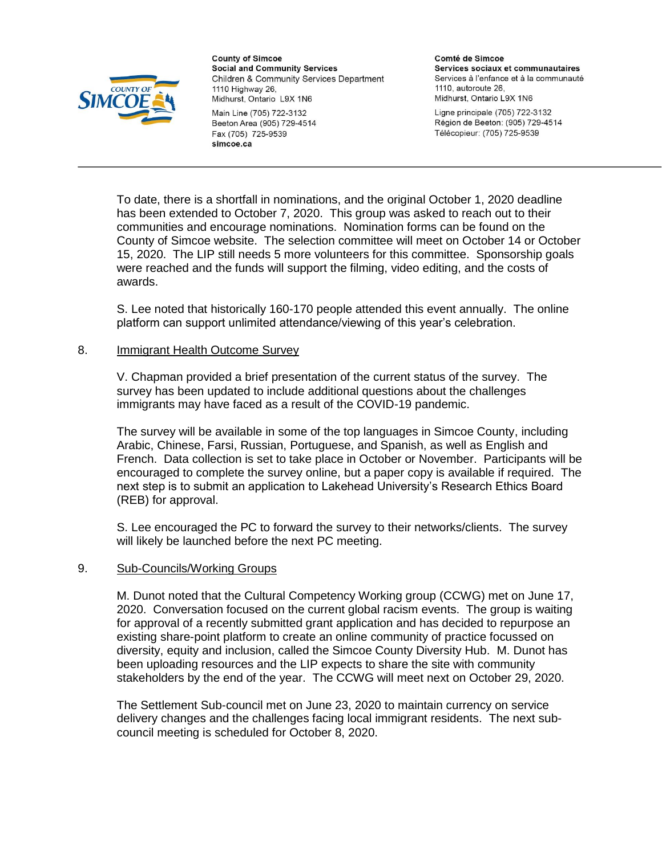

Main Line (705) 722-3132 Beeton Area (905) 729-4514 Fax (705) 725-9539 simcoe.ca

Comté de Simcoe Services sociaux et communautaires Services à l'enfance et à la communauté 1110, autoroute 26. Midhurst, Ontario L9X 1N6

Ligne principale (705) 722-3132 Région de Beeton: (905) 729-4514 Télécopieur: (705) 725-9539

To date, there is a shortfall in nominations, and the original October 1, 2020 deadline has been extended to October 7, 2020. This group was asked to reach out to their communities and encourage nominations. Nomination forms can be found on the County of Simcoe website. The selection committee will meet on October 14 or October 15, 2020. The LIP still needs 5 more volunteers for this committee. Sponsorship goals were reached and the funds will support the filming, video editing, and the costs of awards.

S. Lee noted that historically 160-170 people attended this event annually. The online platform can support unlimited attendance/viewing of this year's celebration.

### 8. Immigrant Health Outcome Survey

V. Chapman provided a brief presentation of the current status of the survey. The survey has been updated to include additional questions about the challenges immigrants may have faced as a result of the COVID-19 pandemic.

The survey will be available in some of the top languages in Simcoe County, including Arabic, Chinese, Farsi, Russian, Portuguese, and Spanish, as well as English and French. Data collection is set to take place in October or November. Participants will be encouraged to complete the survey online, but a paper copy is available if required. The next step is to submit an application to Lakehead University's Research Ethics Board (REB) for approval.

S. Lee encouraged the PC to forward the survey to their networks/clients. The survey will likely be launched before the next PC meeting.

#### 9. Sub-Councils/Working Groups

M. Dunot noted that the Cultural Competency Working group (CCWG) met on June 17, 2020. Conversation focused on the current global racism events. The group is waiting for approval of a recently submitted grant application and has decided to repurpose an existing share-point platform to create an online community of practice focussed on diversity, equity and inclusion, called the Simcoe County Diversity Hub. M. Dunot has been uploading resources and the LIP expects to share the site with community stakeholders by the end of the year. The CCWG will meet next on October 29, 2020.

The Settlement Sub-council met on June 23, 2020 to maintain currency on service delivery changes and the challenges facing local immigrant residents. The next subcouncil meeting is scheduled for October 8, 2020.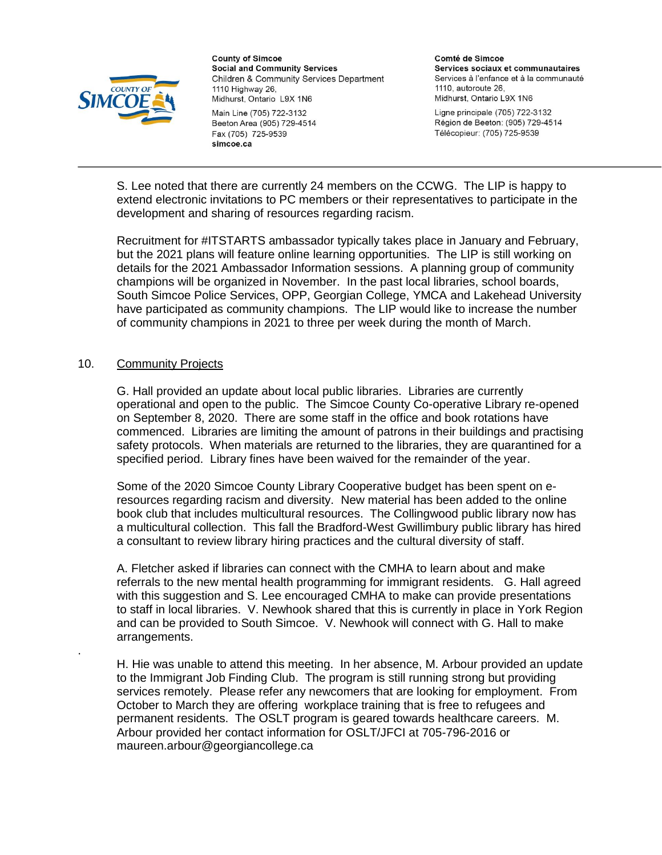

Main Line (705) 722-3132 Beeton Area (905) 729-4514 Fax (705) 725-9539 simcoe.ca

Comté de Simcoe Services sociaux et communautaires Services à l'enfance et à la communauté 1110, autoroute 26. Midhurst, Ontario L9X 1N6

Ligne principale (705) 722-3132 Région de Beeton: (905) 729-4514 Télécopieur: (705) 725-9539

S. Lee noted that there are currently 24 members on the CCWG. The LIP is happy to extend electronic invitations to PC members or their representatives to participate in the development and sharing of resources regarding racism.

Recruitment for #ITSTARTS ambassador typically takes place in January and February, but the 2021 plans will feature online learning opportunities. The LIP is still working on details for the 2021 Ambassador Information sessions. A planning group of community champions will be organized in November. In the past local libraries, school boards, South Simcoe Police Services, OPP, Georgian College, YMCA and Lakehead University have participated as community champions. The LIP would like to increase the number of community champions in 2021 to three per week during the month of March.

### 10. Community Projects

.

G. Hall provided an update about local public libraries. Libraries are currently operational and open to the public. The Simcoe County Co-operative Library re-opened on September 8, 2020. There are some staff in the office and book rotations have commenced. Libraries are limiting the amount of patrons in their buildings and practising safety protocols. When materials are returned to the libraries, they are quarantined for a specified period. Library fines have been waived for the remainder of the year.

Some of the 2020 Simcoe County Library Cooperative budget has been spent on eresources regarding racism and diversity. New material has been added to the online book club that includes multicultural resources. The Collingwood public library now has a multicultural collection. This fall the Bradford-West Gwillimbury public library has hired a consultant to review library hiring practices and the cultural diversity of staff.

A. Fletcher asked if libraries can connect with the CMHA to learn about and make referrals to the new mental health programming for immigrant residents. G. Hall agreed with this suggestion and S. Lee encouraged CMHA to make can provide presentations to staff in local libraries. V. Newhook shared that this is currently in place in York Region and can be provided to South Simcoe. V. Newhook will connect with G. Hall to make arrangements.

H. Hie was unable to attend this meeting. In her absence, M. Arbour provided an update to the Immigrant Job Finding Club. The program is still running strong but providing services remotely. Please refer any newcomers that are looking for employment. From October to March they are offering workplace training that is free to refugees and permanent residents. The OSLT program is geared towards healthcare careers. M. Arbour provided her contact information for OSLT/JFCI at 705-796-2016 or maureen.arbour@georgiancollege.ca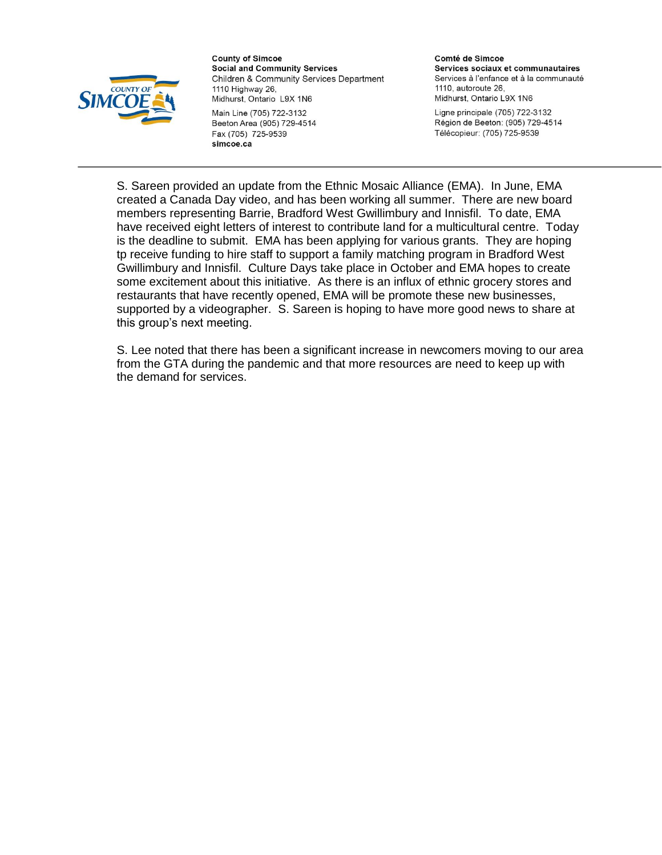

Main Line (705) 722-3132 Beeton Area (905) 729-4514 Fax (705) 725-9539 simcoe.ca

Comté de Simcoe Services sociaux et communautaires Services à l'enfance et à la communauté 1110, autoroute 26, Midhurst, Ontario L9X 1N6

Ligne principale (705) 722-3132 Région de Beeton: (905) 729-4514 Télécopieur: (705) 725-9539

S. Sareen provided an update from the Ethnic Mosaic Alliance (EMA). In June, EMA created a Canada Day video, and has been working all summer. There are new board members representing Barrie, Bradford West Gwillimbury and Innisfil. To date, EMA have received eight letters of interest to contribute land for a multicultural centre. Today is the deadline to submit. EMA has been applying for various grants. They are hoping tp receive funding to hire staff to support a family matching program in Bradford West Gwillimbury and Innisfil. Culture Days take place in October and EMA hopes to create some excitement about this initiative. As there is an influx of ethnic grocery stores and restaurants that have recently opened, EMA will be promote these new businesses, supported by a videographer. S. Sareen is hoping to have more good news to share at this group's next meeting.

S. Lee noted that there has been a significant increase in newcomers moving to our area from the GTA during the pandemic and that more resources are need to keep up with the demand for services.